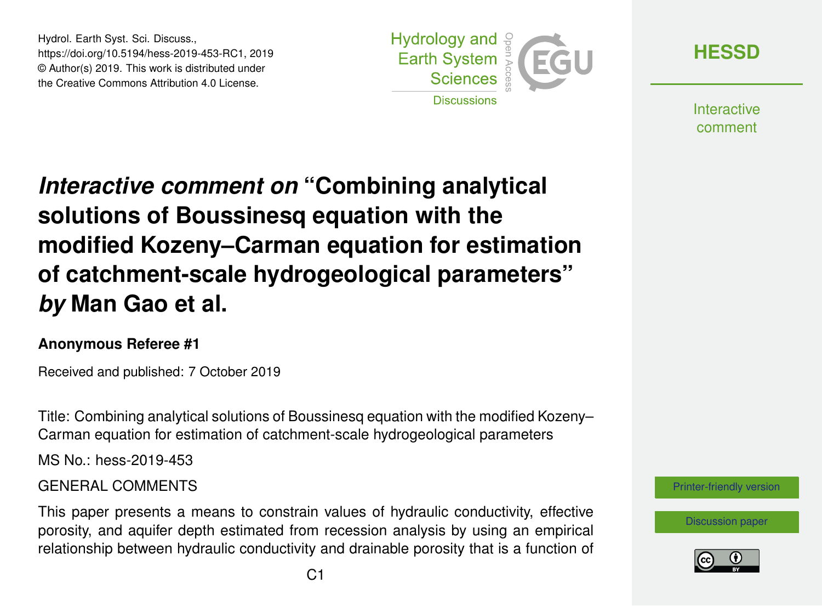Hydrol. Earth Syst. Sci. Discuss., https://doi.org/10.5194/hess-2019-453-RC1, 2019 © Author(s) 2019. This work is distributed under the Creative Commons Attribution 4.0 License.



**[HESSD](https://www.hydrol-earth-syst-sci-discuss.net/)**

**Interactive** comment

# *Interactive comment on* **"Combining analytical solutions of Boussinesq equation with the modified Kozeny–Carman equation for estimation of catchment-scale hydrogeological parameters"** *by* **Man Gao et al.**

#### **Anonymous Referee #1**

Received and published: 7 October 2019

Title: Combining analytical solutions of Boussinesq equation with the modified Kozeny– Carman equation for estimation of catchment-scale hydrogeological parameters

MS No.: hess-2019-453

#### GENERAL COMMENTS

This paper presents a means to constrain values of hydraulic conductivity, effective porosity, and aquifer depth estimated from recession analysis by using an empirical relationship between hydraulic conductivity and drainable porosity that is a function of



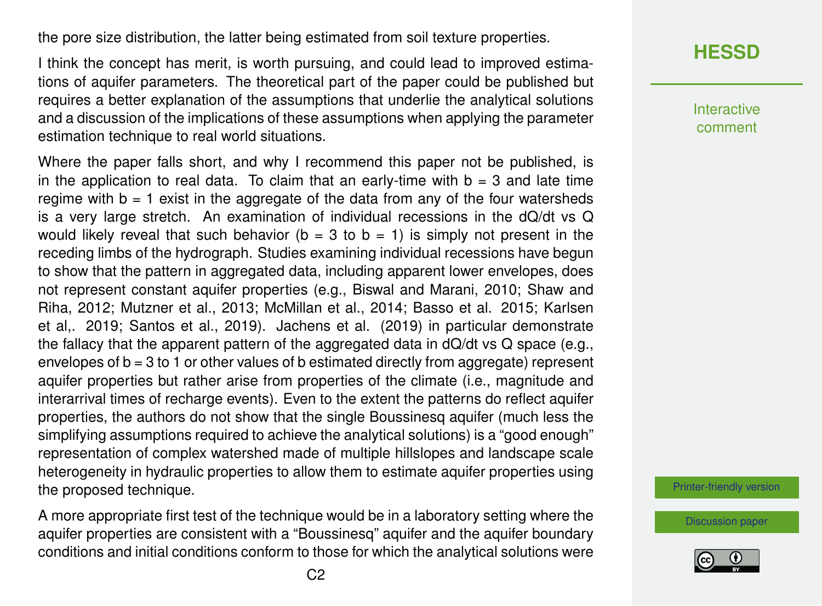the pore size distribution, the latter being estimated from soil texture properties.

I think the concept has merit, is worth pursuing, and could lead to improved estimations of aquifer parameters. The theoretical part of the paper could be published but requires a better explanation of the assumptions that underlie the analytical solutions and a discussion of the implications of these assumptions when applying the parameter estimation technique to real world situations.

Where the paper falls short, and why I recommend this paper not be published, is in the application to real data. To claim that an early-time with  $b = 3$  and late time regime with  $b = 1$  exist in the aggregate of the data from any of the four watersheds is a very large stretch. An examination of individual recessions in the dQ/dt vs Q would likely reveal that such behavior ( $b = 3$  to  $b = 1$ ) is simply not present in the receding limbs of the hydrograph. Studies examining individual recessions have begun to show that the pattern in aggregated data, including apparent lower envelopes, does not represent constant aquifer properties (e.g., Biswal and Marani, 2010; Shaw and Riha, 2012; Mutzner et al., 2013; McMillan et al., 2014; Basso et al. 2015; Karlsen et al,. 2019; Santos et al., 2019). Jachens et al. (2019) in particular demonstrate the fallacy that the apparent pattern of the aggregated data in dQ/dt vs Q space (e.g., envelopes of b = 3 to 1 or other values of b estimated directly from aggregate) represent aquifer properties but rather arise from properties of the climate (i.e., magnitude and interarrival times of recharge events). Even to the extent the patterns do reflect aquifer properties, the authors do not show that the single Boussinesq aquifer (much less the simplifying assumptions required to achieve the analytical solutions) is a "good enough" representation of complex watershed made of multiple hillslopes and landscape scale heterogeneity in hydraulic properties to allow them to estimate aquifer properties using the proposed technique.

A more appropriate first test of the technique would be in a laboratory setting where the aquifer properties are consistent with a "Boussinesq" aquifer and the aquifer boundary conditions and initial conditions conform to those for which the analytical solutions were

# **[HESSD](https://www.hydrol-earth-syst-sci-discuss.net/)**

Interactive comment

[Printer-friendly version](https://www.hydrol-earth-syst-sci-discuss.net/hess-2019-453/hess-2019-453-RC1-print.pdf)

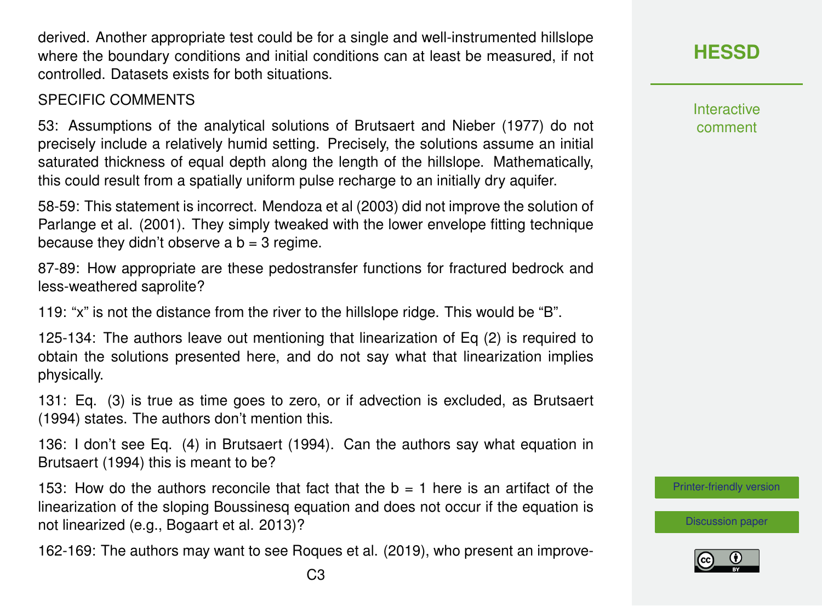derived. Another appropriate test could be for a single and well-instrumented hillslope where the boundary conditions and initial conditions can at least be measured, if not controlled. Datasets exists for both situations.

#### SPECIFIC COMMENTS

53: Assumptions of the analytical solutions of Brutsaert and Nieber (1977) do not precisely include a relatively humid setting. Precisely, the solutions assume an initial saturated thickness of equal depth along the length of the hillslope. Mathematically, this could result from a spatially uniform pulse recharge to an initially dry aquifer.

58-59: This statement is incorrect. Mendoza et al (2003) did not improve the solution of Parlange et al. (2001). They simply tweaked with the lower envelope fitting technique because they didn't observe a  $b = 3$  regime.

87-89: How appropriate are these pedostransfer functions for fractured bedrock and less-weathered saprolite?

119: "x" is not the distance from the river to the hillslope ridge. This would be "B".

125-134: The authors leave out mentioning that linearization of Eq (2) is required to obtain the solutions presented here, and do not say what that linearization implies physically.

131: Eq. (3) is true as time goes to zero, or if advection is excluded, as Brutsaert (1994) states. The authors don't mention this.

136: I don't see Eq. (4) in Brutsaert (1994). Can the authors say what equation in Brutsaert (1994) this is meant to be?

153: How do the authors reconcile that fact that the  $b = 1$  here is an artifact of the linearization of the sloping Boussinesq equation and does not occur if the equation is not linearized (e.g., Bogaart et al. 2013)?

162-169: The authors may want to see Roques et al. (2019), who present an improve-

**[HESSD](https://www.hydrol-earth-syst-sci-discuss.net/)**

**Interactive** comment

[Printer-friendly version](https://www.hydrol-earth-syst-sci-discuss.net/hess-2019-453/hess-2019-453-RC1-print.pdf)

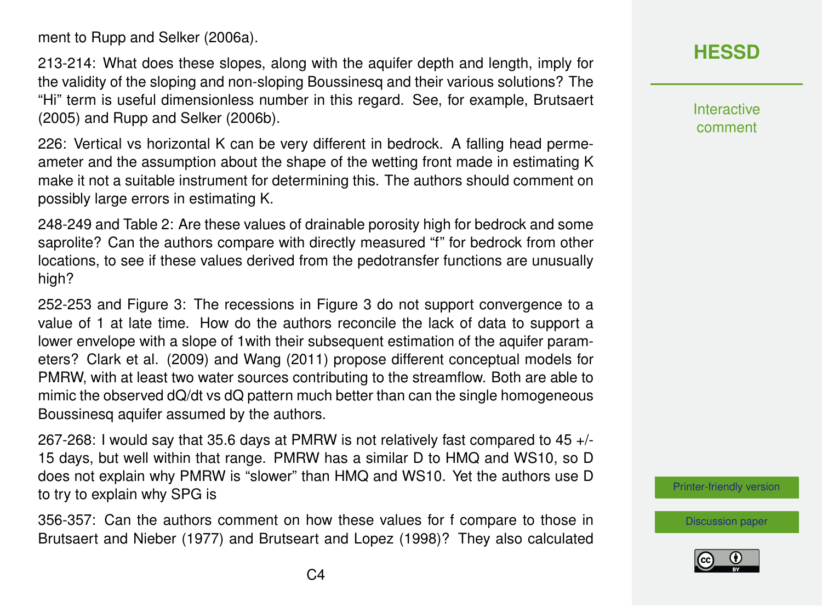ment to Rupp and Selker (2006a).

213-214: What does these slopes, along with the aquifer depth and length, imply for the validity of the sloping and non-sloping Boussinesq and their various solutions? The "Hi" term is useful dimensionless number in this regard. See, for example, Brutsaert (2005) and Rupp and Selker (2006b).

226: Vertical vs horizontal K can be very different in bedrock. A falling head permeameter and the assumption about the shape of the wetting front made in estimating K make it not a suitable instrument for determining this. The authors should comment on possibly large errors in estimating K.

248-249 and Table 2: Are these values of drainable porosity high for bedrock and some saprolite? Can the authors compare with directly measured "f" for bedrock from other locations, to see if these values derived from the pedotransfer functions are unusually high?

252-253 and Figure 3: The recessions in Figure 3 do not support convergence to a value of 1 at late time. How do the authors reconcile the lack of data to support a lower envelope with a slope of 1with their subsequent estimation of the aquifer parameters? Clark et al. (2009) and Wang (2011) propose different conceptual models for PMRW, with at least two water sources contributing to the streamflow. Both are able to mimic the observed dQ/dt vs dQ pattern much better than can the single homogeneous Boussinesq aquifer assumed by the authors.

267-268: I would say that 35.6 days at PMRW is not relatively fast compared to 45 +/- 15 days, but well within that range. PMRW has a similar D to HMQ and WS10, so D does not explain why PMRW is "slower" than HMQ and WS10. Yet the authors use D to try to explain why SPG is

356-357: Can the authors comment on how these values for f compare to those in Brutsaert and Nieber (1977) and Brutseart and Lopez (1998)? They also calculated

## **[HESSD](https://www.hydrol-earth-syst-sci-discuss.net/)**

Interactive comment

[Printer-friendly version](https://www.hydrol-earth-syst-sci-discuss.net/hess-2019-453/hess-2019-453-RC1-print.pdf)

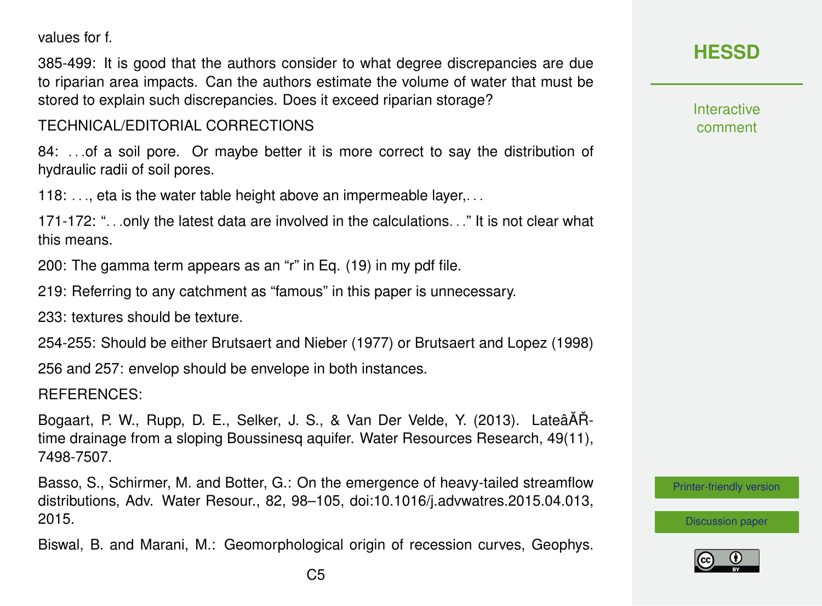values for f.

385-499: It is good that the authors consider to what degree discrepancies are due to riparian area impacts. Can the authors estimate the volume of water that must be stored to explain such discrepancies. Does it exceed riparian storage?

TECHNICAL/EDITORIAL CORRECTIONS

84: ...of a soil pore. Or maybe better it is more correct to say the distribution of hydraulic radii of soil pores.

118:  $\dots$  eta is the water table height above an impermeable layer,  $\dots$ 

171-172: ". . .only the latest data are involved in the calculations. . ." It is not clear what this means.

200: The gamma term appears as an "r" in Eq. (19) in my pdf file.

219: Referring to any catchment as "famous" in this paper is unnecessary.

233: textures should be texture.

254-255: Should be either Brutsaert and Nieber (1977) or Brutsaert and Lopez (1998)

256 and 257: envelop should be envelope in both instances.

REFERENCES:

Bogaart, P. W., Rupp, D. E., Selker, J. S., & Van Der Velde, Y. (2013). LateâÅŘtime drainage from a sloping Boussinesq aquifer. Water Resources Research, 49(11), 7498-7507.

Basso, S., Schirmer, M. and Botter, G.: On the emergence of heavy-tailed streamflow distributions, Adv. Water Resour., 82, 98–105, doi:10.1016/j.advwatres.2015.04.013, 2015.

Biswal, B. and Marani, M.: Geomorphological origin of recession curves, Geophys.

**[HESSD](https://www.hydrol-earth-syst-sci-discuss.net/)**

**Interactive** comment

[Printer-friendly version](https://www.hydrol-earth-syst-sci-discuss.net/hess-2019-453/hess-2019-453-RC1-print.pdf)

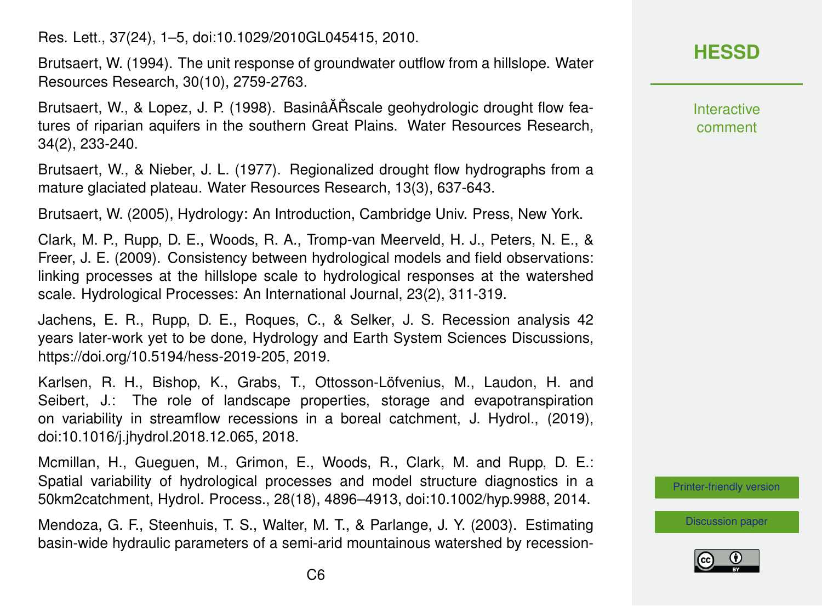Res. Lett., 37(24), 1–5, doi:10.1029/2010GL045415, 2010.

Brutsaert, W. (1994). The unit response of groundwater outflow from a hillslope. Water Resources Research, 30(10), 2759-2763.

Brutsaert, W., & Lopez, J. P. (1998). BasinâĂŘ scale geohydrologic drought flow features of riparian aquifers in the southern Great Plains. Water Resources Research, 34(2), 233-240.

Brutsaert, W., & Nieber, J. L. (1977). Regionalized drought flow hydrographs from a mature glaciated plateau. Water Resources Research, 13(3), 637-643.

Brutsaert, W. (2005), Hydrology: An Introduction, Cambridge Univ. Press, New York.

Clark, M. P., Rupp, D. E., Woods, R. A., Tromp-van Meerveld, H. J., Peters, N. E., & Freer, J. E. (2009). Consistency between hydrological models and field observations: linking processes at the hillslope scale to hydrological responses at the watershed scale. Hydrological Processes: An International Journal, 23(2), 311-319.

Jachens, E. R., Rupp, D. E., Roques, C., & Selker, J. S. Recession analysis 42 years later-work yet to be done, Hydrology and Earth System Sciences Discussions, https://doi.org/10.5194/hess-2019-205, 2019.

Karlsen, R. H., Bishop, K., Grabs, T., Ottosson-Löfvenius, M., Laudon, H. and Seibert, J.: The role of landscape properties, storage and evapotranspiration on variability in streamflow recessions in a boreal catchment, J. Hydrol., (2019), doi:10.1016/j.jhydrol.2018.12.065, 2018.

Mcmillan, H., Gueguen, M., Grimon, E., Woods, R., Clark, M. and Rupp, D. E.: Spatial variability of hydrological processes and model structure diagnostics in a 50km2catchment, Hydrol. Process., 28(18), 4896–4913, doi:10.1002/hyp.9988, 2014.

Mendoza, G. F., Steenhuis, T. S., Walter, M. T., & Parlange, J. Y. (2003). Estimating basin-wide hydraulic parameters of a semi-arid mountainous watershed by recession-

# **[HESSD](https://www.hydrol-earth-syst-sci-discuss.net/)**

Interactive comment

[Printer-friendly version](https://www.hydrol-earth-syst-sci-discuss.net/hess-2019-453/hess-2019-453-RC1-print.pdf)